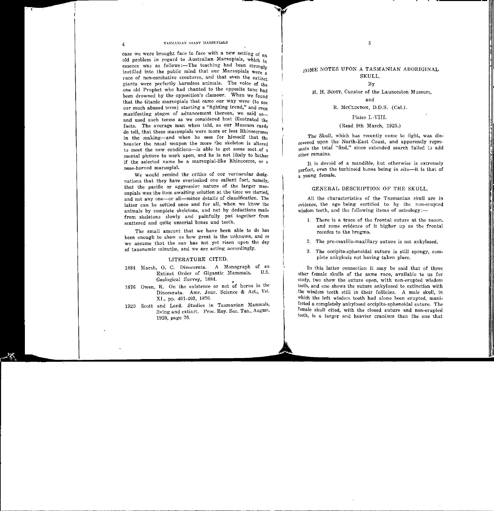# soME NOTES UPON A TASMANIAN ABORIGINAL SKULL.

By

H. H. SCOTT, Curator of the Launceston Museum,

## and

## R. McCLINTON, D.D.S. (Cal.).

## Plates **I.-YIII.**

## (Read 9th March, 1925.)

The Skull, which has recently come to light, was dis· covered upon the North-East Coast, and apparently repre- $\frac{1}{\text{sents}}$  the total "find," since extended search failed to add <sub>other</sub> remains.

It is devoid of a mandible, but otherwise is extremely perfect, even the turbinoid bunes being *in situ-it* is that of a young female.

## GENERAL DESCRIPTION OF THE SKULL.

All the characteristics of the Tasmanian skull are in evidence, the age being certified to by the non-erupted wisdom teeth, and the following items of osteology:--

- 1. There is a trace of the frontal. suture at the nason, and some evidence of it higher up as the frontal recedes to the bregma.
- 2. The pre-maxillo-maxillary suture is not ankylosed.
- 3. The occipita-sphenoidal suture is still spongy, complete ankylosis not having taken place.

In this latter connection it may be said that of three other female skulls of the same race, available to us for study, two show the suture open, with non-erupted wisdom teeth, and one shows the suture ankylosed to extinction with . the wisdom teeth still in their follicles. A male skull, in which the left wisdom tooth had alone been erupted, manifested a completely ankybsed occipita-sphenoidal suture. The female skull cited, with the closed suture and non·erupted teeth, is a larger and heavier cranium than the one that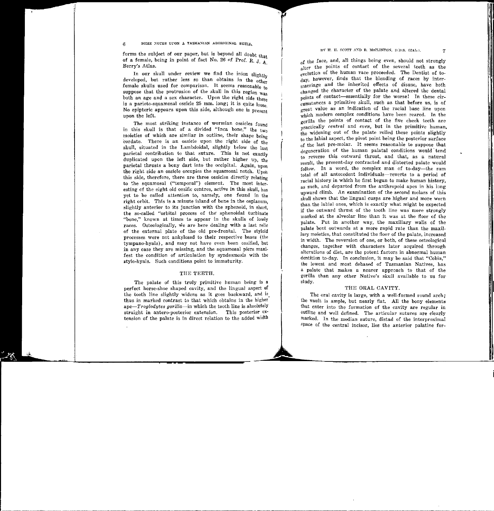forms the subject of our paper, but is beyond all doubt that of a female, being in point of fact No. 26 of Prof. R. J. A Berry's Atlas.

In our skull under review we find the inion slightly developed, but rather less so than obtains in the other female skulls used for comparison. It seems reasonable to suppose that the protrusion of the skull in this region  $\frac{1}{\text{was}}$ both an age and a sex character. Upon the right side there is a parieto-squamosal ossicle 25 mm. long; it is quite loose. No epipteric appears upon this side, although one is present upon the left.

The most striking instance of wormian ossicles found in this skull is that of a divided "Inca bone," the  $t_{\text{wo}}$ moieties of which are similar in outline, their shape being cordate. There is an ossicle upon the right side of the skull, situated in the Lambdoidal, slightly below the last parietal contribution to that suture. This is not exactly duplicated upon the left side, but rather higher up, the parietal thrusts a bony dart into the occipital. Again, upon the right side an ossicle occupies the squamosal notch. Upon this side, therefore, there are three ossicles directly relating to the squamosal ("temporal") element. The most interesting of the eight old ossific centres, active in this skull, has yet to be called attention to, namely, one found in the right orbit. This is a minute island of bone in the osplanum. slightly anterior to its junction with the sphenoid, in short, the so-called "orbital process of the sphenoidal turbinate "bone," known at times to appear in the skulls of lowly races. Osteologically, we are here dealing with a last relic of the external plate of the old pre-frontal. The styloid processes were not ankylosed to their respective bases (the tympano-hyals), and may not have even been ossified, but in any case they are missing, and the squamosal piers manifest the condition of articulation by syndesmosis with the £tylo-hyals. Such conditions point to immaturity.

#### THE TEETH.

The palate of this truly primitive human being is a perfect horse-shoe shaped cavity, and the lingual aspect of the tooth line slightly widens as it goes backward, and is. thus in marked contrast to that which obtains in the higher *ape-Troglodytes gorilla-in* which the tooth line is absolutely straight in antero-posterior extension. This posterior extension of the palate is in direct relation to the added width

 $\ddot{\phantom{a}}$ 

of the face, and, all things being even, should not strongly alter the points of contact of the several teeth as the evolution of the human race proceeded. The Dentist of today, however, finds that the blending of races by intermarriage and the inherited effects of disuse, have both changed the character of the palate and altered the dental points of contact-essentially for the worse! In these circumstances a primitive skull, such as that before us, is of great value as an indication of the racial base line upon which modern complex conditions have been reared. In the gorilla the points of contact of the five cheek teeth are practically *central* and *even*, but in the primitive human. the widening out of the palate rolled these points slightly to the labial aspect, the pivot point being the posterior surface of the last pre-molar. It seems reasonable to suppose that degeneration of the human palatal conditions would 'tend to reverse this outward thrust, and that, as a natural result, the present-day contracted and distorted palate would follow. In a word, the complex man of to-day—the sum total of all antecedent individuals-reverts to a period of racial history in which he first began to make human history, as such, and departed from the anthropoid apes in his long upward climb. An examination of the second molars of this skull shows that the lingual cusps are higher and more worn than the labial ones, which is exactly what might be expected if the outward thrust of the tooth line was more strongly marked at the alveolar line than it was at the floor of the palate. Put in another way, the maxillary walls of the palate bent outwards at a more rapid rate than the maxillary moieties, that constituted the floor of the palate, increased in width. The reversion of one, or both, of these osteological changes, together with characters later acquired through alterations of diet, are the potent factors in abnormal human dentition to-day. In conclusion, it may be said that "Cobia," the lowest and most debased of Tasmanian Natives, has a palate that makes a nearer approach to that of the gorilla than any other Native's skull available to us for study.

#### THE ORAL CAVITY.

The oral cavity is large, with a well-formed round arch; the vault is ample, but nearly flat. All the bony elements that enter into the formation of the cavity are regular in outline and well defined. The articular sutures are clearly marked. In the median suture, distad of the interproximal space of the central incisor, lies the anterior palatine for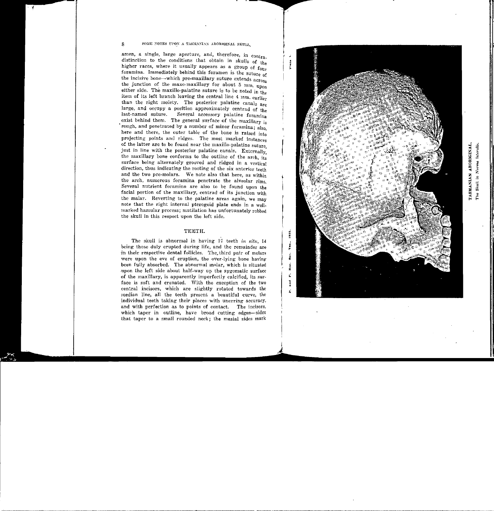amen, a single, large aperture, and, therefore, in contra. distinction to the conditions that obtain in skulls of  ${}_{\rm th}$ . higher races, where it usually appears as a group of  $f_{00r}$ . foramina. Immediately behind this foramen is the suture of the incisive bone-which pre-maxillary suture extends across the junction of the maxo-maxillary for about 5 mm. upon either side. The maxillo-palatine suture is to be noted in the item of its left branch leaving the central line 4 nm. earlier than the right moiety. The posterior palatine canals are large, and occupy a position approximately centrad of the last-named suture. Several accessory palatine foramina exist behind them. The general surface of the maxillary is rough, and penetrated by a number of minor foramina;  $_{\text{also}}$ here and there, the outer table of the bone is raised into projecting points and ridges. The most marked instances of the latter arc to be found near the maxillo-palatine suture just in line with the posterior palatine canals. Externally, the maxillary bone conforms to the outline of the arch, its surface being alternately grooved and ridged in a vertical direction, thus indicating the rooting of the six anterior teeth and the two pre-molars. We note also that here, as within the arch, numerous foramina penetrate the alveolar rims. Several nutrient foramina are also to be found upon the facial portion of the maxillary, centrad of its junction with the malar. Reverting to the palatine areas again, we may note that- the right internal pterogoid plate ends in a wellmarked hamular process; mutilation has unfortunately robbed the skull in this respect upon the left side.

## TEETH.

The skull is abnormal in having 17 teeth *in situ,* 14 being those duly erupted during life, and the remainder are in their respective dental follicles. The, third pair of molars were upon the eve of eruption, the over-lying bone havingbeen fully absorbed. The abnormal molar, which is situated .upon the left side about half-way up the zygomatic surface of the maxillary, is apparently imperfectly calcified, its surface is soft and crenated. With the exception of the two central incisors, which are slightly rotated towards the median line, all the teeth present a beautiful curve, the individual teeth taking their places with unerring accuracy, and with perfection as to points of contact. The incisors, which taper in outline, have broad cutting edges-sides that taper to a small rounded neck; the mesial sides mark



||<br>|-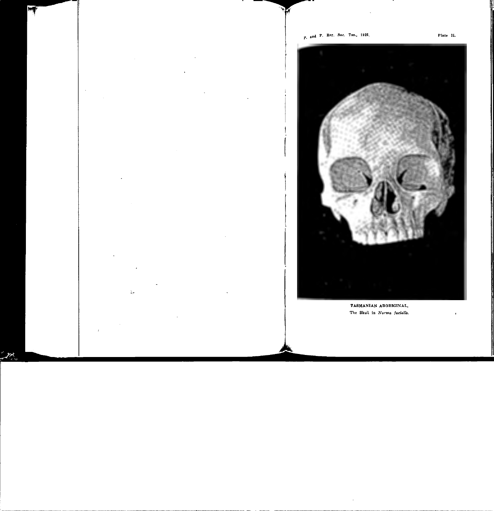$\pmb{\cdot}$ 



TASMANIAN ABORKINAL. The Skull in Norma facialis.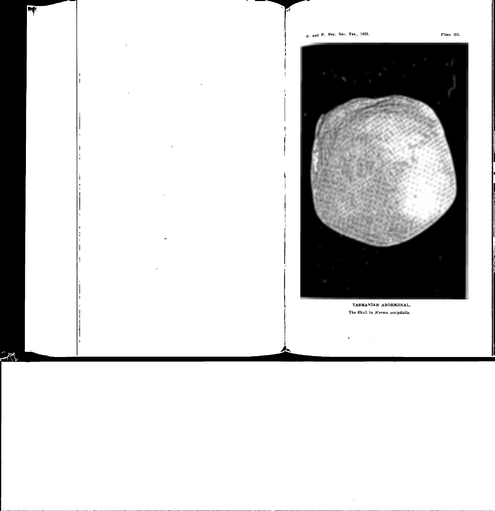

TASMANIAN ABORKGINAL. The Skull in Norma occipitalis.

 $\bar{\xi}$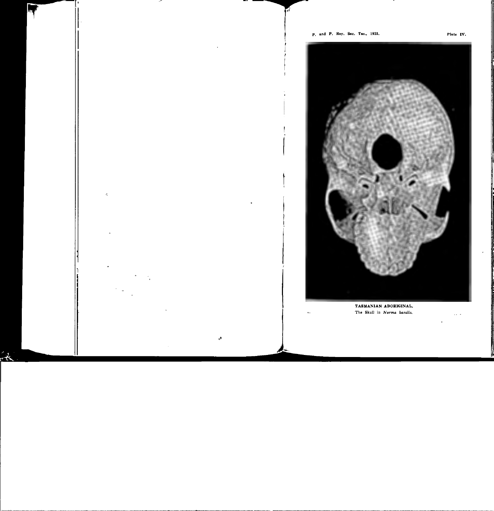

TASMANIAN ABORIGINAL. The Skull in Norma basalis.

ш.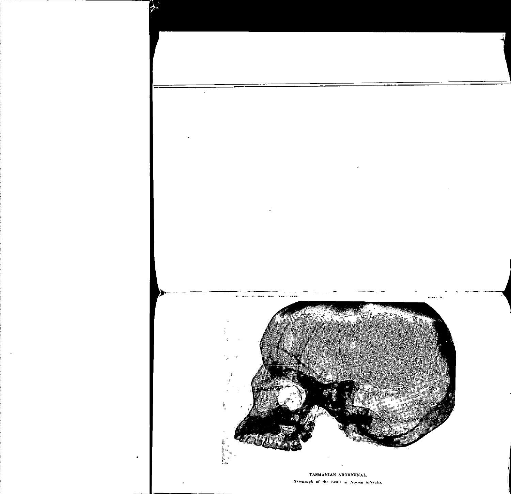$\mathbf{r}$ 





## TASMANIAN ABOREGINAL.

Skiograph of the Skull in Norma lateralis.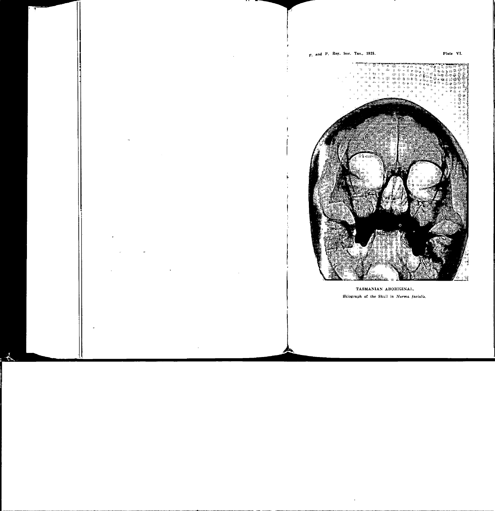Plate VI.



TASMANIAN ABOREGINAL. Skiograph of the Skull in Norma facialis.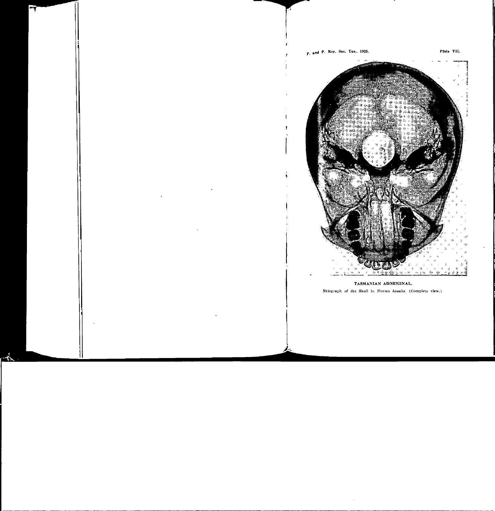

TASMANIAN ABOREGINAL. Skiograph of the Skull in Norma basalis. (Complete view.)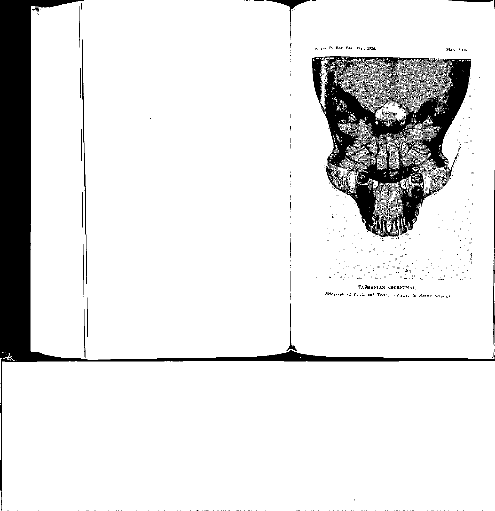

## TASMANIAN ABORKGINAL.

Skiograph of Palate and Teeth. (Viewed in Norma basalis.)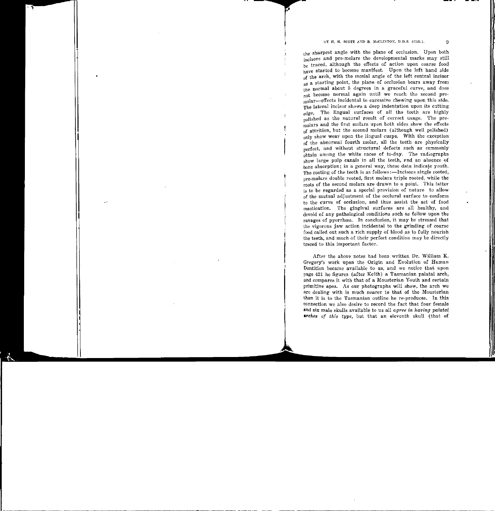the sharpest angle with the plane of occlusion. Upon both incisors and pre-molars the developmental marks may still be traced, although the effects of action upon coarse food have started to become manifest. Upon the left hand side  $\frac{1}{\alpha}$  the arch, with the mesial angle of the left central incisor as a starting point, the plane of occlusion bears away from the normal about 5 degrees in a graceful curve, and does not become normal again until we reach the second premolar-effects incidental to excessive chewing upon this side.  $T_{\text{The lateral incisor shows a deep indentation upon its cutting}}$ edge. The lingual surfaces of all the teeth are highly  $_{\text{pol}}$  ished as the natural result of correct usage. The premolars and the first molars upon both sides show the effects of attrition, but the second molars (although well polished) only show wear upon the lingual cusps. With the exception of the abnormal fourth molar, all the teeth are physically  $\frac{1}{\text{perfect}}$ , and without structural defects such as commonly obtain among the white races of to-day. The radiographs show large pulp canals in all the teeth, and an absence of bone absorption; in a general way, these data indicate youth. The rooting of the teeth is as follows:-Incisors single rooted, pre-molars double rooted, first molars triple rooted, while the roots of the second molars are drawn to a point. This latter is to be regarded as a special provision of nature to allowof the mutual adjustment of the occlural surface to conform to the curve of occlusion, and thus assist the act of food mastication. The gingival surfaces are all healthy, and devoid of any pathological conditions such as follow upon the ravages of pyorrhœa. In conclusion, it may be stressed that the vigorous jaw action incidental to the grinding of coarse food called. out such a rich supply of blood as to fully nourish the teeth, and much of their perfect condition may be directly traced to this important factor.

After the above notes had been written Dr. William K. Gregory's work upon the Origin and Evolution of Human Dentition became available to us, and we notice that upon page 421 he figures (after Keith) a Tasmanian palatal arch, and compares it with that of a Mousterian Youth and certain primitive apes. As our photographs will show, the arch we are dealing with is much nearer to that of the Mousterian than it is to the Tasmanian outline he re-produces. In this eonnection we also desire to record the fact that four female and six male skulls available to us all *agree in having palatal arches of this type, but that an eleventh skull (that of*